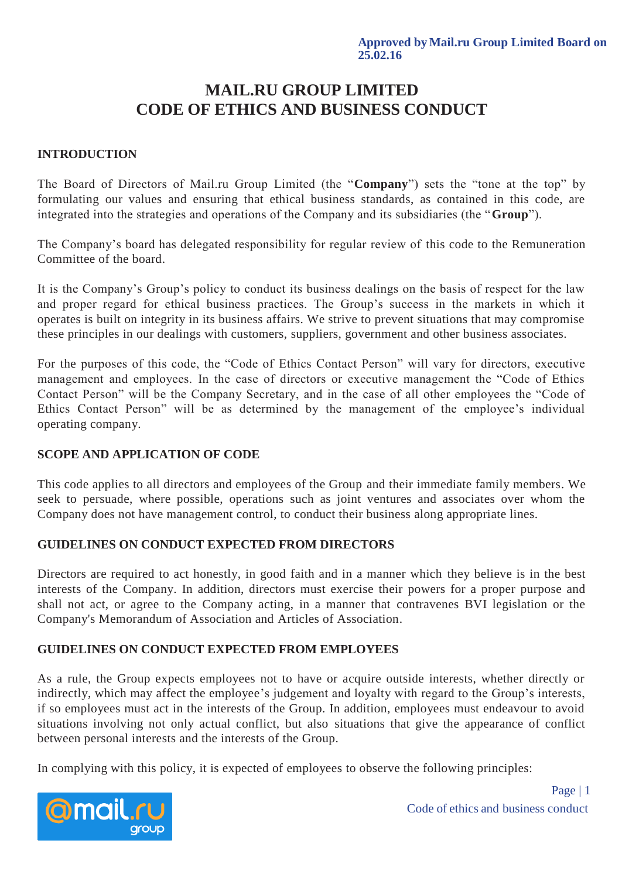# **MAIL.RU GROUP LIMITED CODE OF ETHICS AND BUSINESS CONDUCT**

## **INTRODUCTION**

The Board of Directors of Mail.ru Group Limited (the "**Company**") sets the "tone at the top" by formulating our values and ensuring that ethical business standards, as contained in this code, are integrated into the strategies and operations of the Company and its subsidiaries (the "**Group**").

The Company's board has delegated responsibility for regular review of this code to the Remuneration Committee of the board.

It is the Company's Group's policy to conduct its business dealings on the basis of respect for the law and proper regard for ethical business practices. The Group's success in the markets in which it operates is built on integrity in its business affairs. We strive to prevent situations that may compromise these principles in our dealings with customers, suppliers, government and other business associates.

For the purposes of this code, the "Code of Ethics Contact Person" will vary for directors, executive management and employees. In the case of directors or executive management the "Code of Ethics Contact Person" will be the Company Secretary, and in the case of all other employees the "Code of Ethics Contact Person" will be as determined by the management of the employee's individual operating company.

# **SCOPE AND APPLICATION OF CODE**

This code applies to all directors and employees of the Group and their immediate family members. We seek to persuade, where possible, operations such as joint ventures and associates over whom the Company does not have management control, to conduct their business along appropriate lines.

### **GUIDELINES ON CONDUCT EXPECTED FROM DIRECTORS**

Directors are required to act honestly, in good faith and in a manner which they believe is in the best interests of the Company. In addition, directors must exercise their powers for a proper purpose and shall not act, or agree to the Company acting, in a manner that contravenes BVI legislation or the Company's Memorandum of Association and Articles of Association.

# **GUIDELINES ON CONDUCT EXPECTED FROM EMPLOYEES**

As a rule, the Group expects employees not to have or acquire outside interests, whether directly or indirectly, which may affect the employee's judgement and loyalty with regard to the Group's interests, if so employees must act in the interests of the Group. In addition, employees must endeavour to avoid situations involving not only actual conflict, but also situations that give the appearance of conflict between personal interests and the interests of the Group.

In complying with this policy, it is expected of employees to observe the following principles:

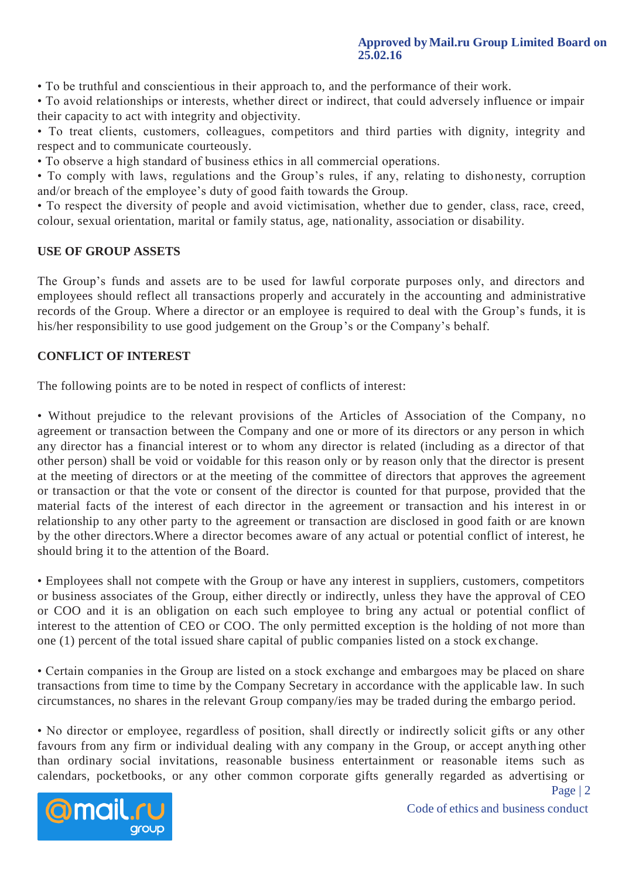#### **Approved by Mail.ru Group Limited Board on 25.02.16**

• To be truthful and conscientious in their approach to, and the performance of their work.

• To avoid relationships or interests, whether direct or indirect, that could adversely influence or impair their capacity to act with integrity and objectivity.

• To treat clients, customers, colleagues, competitors and third parties with dignity, integrity and respect and to communicate courteously.

• To observe a high standard of business ethics in all commercial operations.

• To comply with laws, regulations and the Group's rules, if any, relating to dishonesty, corruption and/or breach of the employee's duty of good faith towards the Group.

• To respect the diversity of people and avoid victimisation, whether due to gender, class, race, creed, colour, sexual orientation, marital or family status, age, nationality, association or disability.

## **USE OF GROUP ASSETS**

The Group's funds and assets are to be used for lawful corporate purposes only, and directors and employees should reflect all transactions properly and accurately in the accounting and administrative records of the Group. Where a director or an employee is required to deal with the Group's funds, it is his/her responsibility to use good judgement on the Group's or the Company's behalf.

## **CONFLICT OF INTEREST**

The following points are to be noted in respect of conflicts of interest:

• Without prejudice to the relevant provisions of the Articles of Association of the Company, no agreement or transaction between the Company and one or more of its directors or any person in which any director has a financial interest or to whom any director is related (including as a director of that other person) shall be void or voidable for this reason only or by reason only that the director is present at the meeting of directors or at the meeting of the committee of directors that approves the agreement or transaction or that the vote or consent of the director is counted for that purpose, provided that the material facts of the interest of each director in the agreement or transaction and his interest in or relationship to any other party to the agreement or transaction are disclosed in good faith or are known by the other directors.Where a director becomes aware of any actual or potential conflict of interest, he should bring it to the attention of the Board.

• Employees shall not compete with the Group or have any interest in suppliers, customers, competitors or business associates of the Group, either directly or indirectly, unless they have the approval of CEO or COO and it is an obligation on each such employee to bring any actual or potential conflict of interest to the attention of CEO or COO. The only permitted exception is the holding of not more than one (1) percent of the total issued share capital of public companies listed on a stock ex change.

• Certain companies in the Group are listed on a stock exchange and embargoes may be placed on share transactions from time to time by the Company Secretary in accordance with the applicable law. In such circumstances, no shares in the relevant Group company/ies may be traded during the embargo period.

• No director or employee, regardless of position, shall directly or indirectly solicit gifts or any other favours from any firm or individual dealing with any company in the Group, or accept anyth ing other than ordinary social invitations, reasonable business entertainment or reasonable items such as calendars, pocketbooks, or any other common corporate gifts generally regarded as advertising or



Page | 2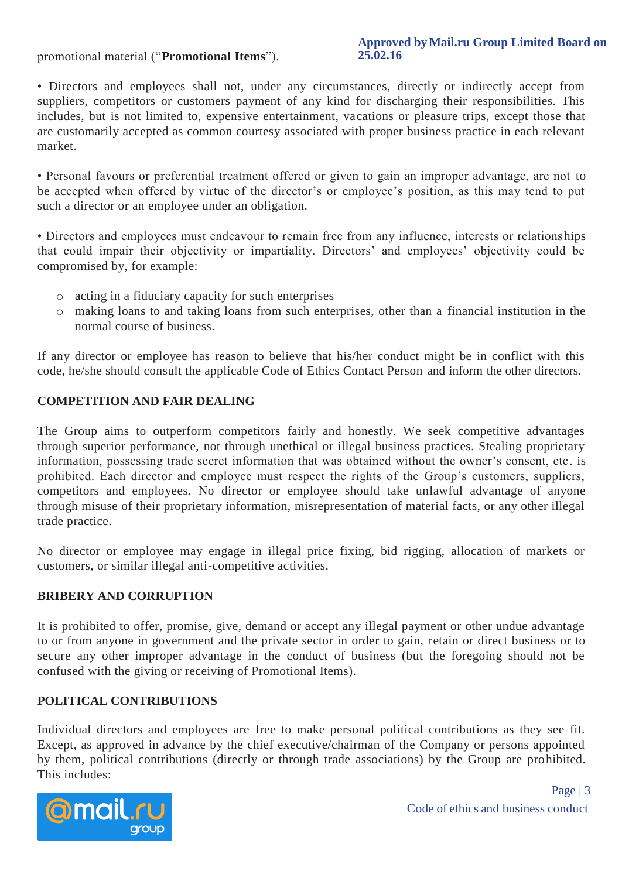## promotional material ("**Promotional Items**").

#### **Approved by Mail.ru Group Limited Board on 25.02.16**

• Directors and employees shall not, under any circumstances, directly or indirectly accept from suppliers, competitors or customers payment of any kind for discharging their responsibilities. This includes, but is not limited to, expensive entertainment, vacations or pleasure trips, except those that are customarily accepted as common courtesy associated with proper business practice in each relevant market.

• Personal favours or preferential treatment offered or given to gain an improper advantage, are not to be accepted when offered by virtue of the director's or employee's position, as this may tend to put such a director or an employee under an obligation.

• Directors and employees must endeavour to remain free from any influence, interests or relations hips that could impair their objectivity or impartiality. Directors' and employees' objectivity could be compromised by, for example:

- o acting in a fiduciary capacity for such enterprises
- o making loans to and taking loans from such enterprises, other than a financial institution in the normal course of business.

If any director or employee has reason to believe that his/her conduct might be in conflict with this code, he/she should consult the applicable Code of Ethics Contact Person and inform the other directors.

# **COMPETITION AND FAIR DEALING**

The Group aims to outperform competitors fairly and honestly. We seek competitive advantages through superior performance, not through unethical or illegal business practices. Stealing proprietary information, possessing trade secret information that was obtained without the owner's consent, etc. is prohibited. Each director and employee must respect the rights of the Group's customers, suppliers, competitors and employees. No director or employee should take unlawful advantage of anyone through misuse of their proprietary information, misrepresentation of material facts, or any other illegal trade practice.

No director or employee may engage in illegal price fixing, bid rigging, allocation of markets or customers, or similar illegal anti-competitive activities.

### **BRIBERY AND CORRUPTION**

It is prohibited to offer, promise, give, demand or accept any illegal payment or other undue advantage to or from anyone in government and the private sector in order to gain, retain or direct business or to secure any other improper advantage in the conduct of business (but the foregoing should not be confused with the giving or receiving of Promotional Items).

# **POLITICAL CONTRIBUTIONS**

Individual directors and employees are free to make personal political contributions as they see fit. Except, as approved in advance by the chief executive/chairman of the Company or persons appointed by them, political contributions (directly or through trade associations) by the Group are prohibited. This includes:

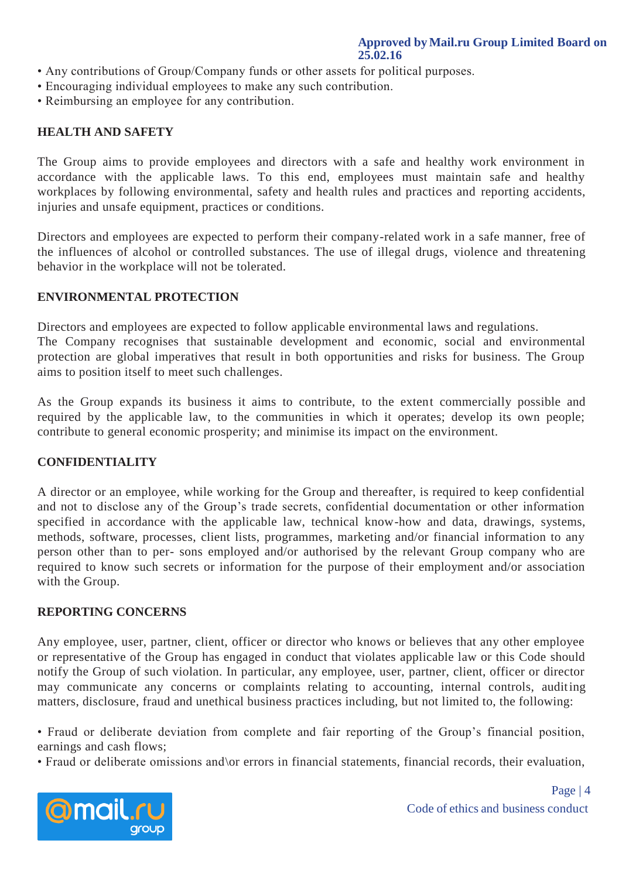- Any contributions of Group/Company funds or other assets for political purposes.
- Encouraging individual employees to make any such contribution.
- Reimbursing an employee for any contribution.

### **HEALTH AND SAFETY**

The Group aims to provide employees and directors with a safe and healthy work environment in accordance with the applicable laws. To this end, employees must maintain safe and healthy workplaces by following environmental, safety and health rules and practices and reporting accidents, injuries and unsafe equipment, practices or conditions.

Directors and employees are expected to perform their company-related work in a safe manner, free of the influences of alcohol or controlled substances. The use of illegal drugs, violence and threatening behavior in the workplace will not be tolerated.

#### **ENVIRONMENTAL PROTECTION**

Directors and employees are expected to follow applicable environmental laws and regulations. The Company recognises that sustainable development and economic, social and environmental protection are global imperatives that result in both opportunities and risks for business. The Group aims to position itself to meet such challenges.

As the Group expands its business it aims to contribute, to the extent commercially possible and required by the applicable law, to the communities in which it operates; develop its own people; contribute to general economic prosperity; and minimise its impact on the environment.

#### **CONFIDENTIALITY**

A director or an employee, while working for the Group and thereafter, is required to keep confidential and not to disclose any of the Group's trade secrets, confidential documentation or other information specified in accordance with the applicable law, technical know-how and data, drawings, systems, methods, software, processes, client lists, programmes, marketing and/or financial information to any person other than to per- sons employed and/or authorised by the relevant Group company who are required to know such secrets or information for the purpose of their employment and/or association with the Group.

#### **REPORTING CONCERNS**

Any employee, user, partner, client, officer or director who knows or believes that any other employee or representative of the Group has engaged in conduct that violates applicable law or this Code should notify the Group of such violation. In particular, any employee, user, partner, client, officer or director may communicate any concerns or complaints relating to accounting, internal controls, auditing matters, disclosure, fraud and unethical business practices including, but not limited to, the following:

• Fraud or deliberate deviation from complete and fair reporting of the Group's financial position, earnings and cash flows;

• Fraud or deliberate omissions and\or errors in financial statements, financial records, their evaluation,



Code of ethics and business conduct Page | 4